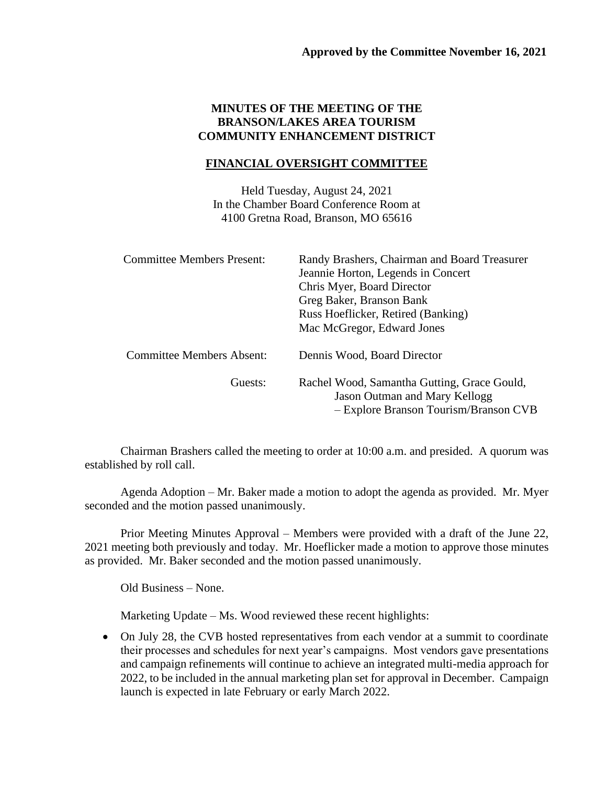## **MINUTES OF THE MEETING OF THE BRANSON/LAKES AREA TOURISM COMMUNITY ENHANCEMENT DISTRICT**

## **FINANCIAL OVERSIGHT COMMITTEE**

Held Tuesday, August 24, 2021 In the Chamber Board Conference Room at 4100 Gretna Road, Branson, MO 65616

| <b>Committee Members Present:</b> | Randy Brashers, Chairman and Board Treasurer<br>Jeannie Horton, Legends in Concert<br>Chris Myer, Board Director<br>Greg Baker, Branson Bank<br>Russ Hoeflicker, Retired (Banking)<br>Mac McGregor, Edward Jones |
|-----------------------------------|------------------------------------------------------------------------------------------------------------------------------------------------------------------------------------------------------------------|
| <b>Committee Members Absent:</b>  | Dennis Wood, Board Director                                                                                                                                                                                      |
| Guests:                           | Rachel Wood, Samantha Gutting, Grace Gould,<br>Jason Outman and Mary Kellogg<br>- Explore Branson Tourism/Branson CVB                                                                                            |

Chairman Brashers called the meeting to order at 10:00 a.m. and presided. A quorum was established by roll call.

Agenda Adoption – Mr. Baker made a motion to adopt the agenda as provided. Mr. Myer seconded and the motion passed unanimously.

Prior Meeting Minutes Approval – Members were provided with a draft of the June 22, 2021 meeting both previously and today. Mr. Hoeflicker made a motion to approve those minutes as provided. Mr. Baker seconded and the motion passed unanimously.

Old Business – None.

Marketing Update – Ms. Wood reviewed these recent highlights:

• On July 28, the CVB hosted representatives from each vendor at a summit to coordinate their processes and schedules for next year's campaigns. Most vendors gave presentations and campaign refinements will continue to achieve an integrated multi-media approach for 2022, to be included in the annual marketing plan set for approval in December. Campaign launch is expected in late February or early March 2022.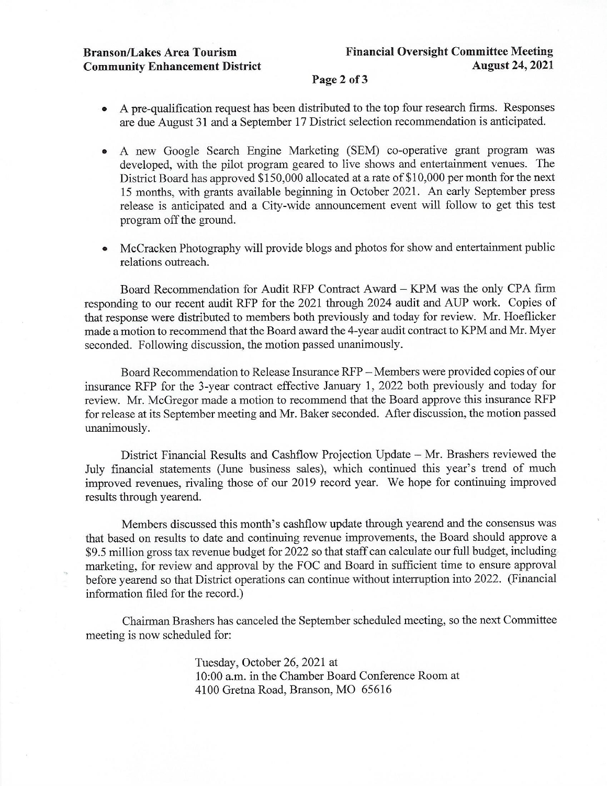## Page 2 of 3

- A pre-qualification request has been distributed to the top four research firms. Responses  $\bullet$ are due August 31 and a September 17 District selection recommendation is anticipated.
- A new Google Search Engine Marketing (SEM) co-operative grant program was  $\bullet$ developed, with the pilot program geared to live shows and entertainment venues. The District Board has approved \$150,000 allocated at a rate of \$10,000 per month for the next 15 months, with grants available beginning in October 2021. An early September press release is anticipated and a City-wide announcement event will follow to get this test program off the ground.
- McCracken Photography will provide blogs and photos for show and entertainment public  $\bullet$ relations outreach.

Board Recommendation for Audit RFP Contract Award - KPM was the only CPA firm responding to our recent audit RFP for the 2021 through 2024 audit and AUP work. Copies of that response were distributed to members both previously and today for review. Mr. Hoeflicker made a motion to recommend that the Board award the 4-year audit contract to KPM and Mr. Myer seconded. Following discussion, the motion passed unanimously.

Board Recommendation to Release Insurance RFP – Members were provided copies of our insurance RFP for the 3-year contract effective January 1, 2022 both previously and today for review. Mr. McGregor made a motion to recommend that the Board approve this insurance RFP for release at its September meeting and Mr. Baker seconded. After discussion, the motion passed unanimously.

District Financial Results and Cashflow Projection Update – Mr. Brashers reviewed the July financial statements (June business sales), which continued this year's trend of much improved revenues, rivaling those of our 2019 record year. We hope for continuing improved results through yearend.

Members discussed this month's cashflow update through yearend and the consensus was that based on results to date and continuing revenue improvements, the Board should approve a \$9.5 million gross tax revenue budget for 2022 so that staff can calculate our full budget, including marketing, for review and approval by the FOC and Board in sufficient time to ensure approval before yearend so that District operations can continue without interruption into 2022. (Financial information filed for the record.)

Chairman Brashers has canceled the September scheduled meeting, so the next Committee meeting is now scheduled for:

> Tuesday, October 26, 2021 at 10:00 a.m. in the Chamber Board Conference Room at 4100 Gretna Road, Branson, MO 65616